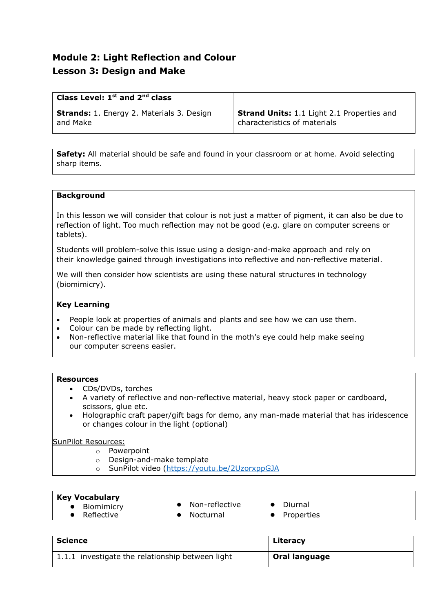# **Module 2: Light Reflection and Colour Lesson 3: Design and Make**

| Class Level: $1st$ and $2nd$ class               |                                                   |
|--------------------------------------------------|---------------------------------------------------|
| <b>Strands:</b> 1. Energy 2. Materials 3. Design | <b>Strand Units:</b> 1.1 Light 2.1 Properties and |
| and Make                                         | characteristics of materials                      |

**Safety:** All material should be safe and found in your classroom or at home. Avoid selecting sharp items.

#### **Background**

In this lesson we will consider that colour is not just a matter of pigment, it can also be due to reflection of light. Too much reflection may not be good (e.g. glare on computer screens or tablets).

Students will problem-solve this issue using a design-and-make approach and rely on their knowledge gained through investigations into reflective and non-reflective material.

We will then consider how scientists are using these natural structures in technology (biomimicry).

#### **Key Learning**

- People look at properties of animals and plants and see how we can use them.
- Colour can be made by reflecting light.
- Non-reflective material like that found in the moth's eye could help make seeing our computer screens easier.

#### **Resources**

- CDs/DVDs, torches
- A variety of reflective and non-reflective material, heavy stock paper or cardboard, scissors, glue etc.
- Holographic craft paper/gift bags for demo, any man-made material that has iridescence or changes colour in the light (optional)

#### SunPilot Resources:

- o Powerpoint
- o Design-and-make template
- o SunPilot video [\(https://youtu.be/2UzorxppGJA](https://youtu.be/2UzorxppGJA)

#### **Key Vocabulary**

- 
- 
- Biomimicry Non-reflective Diurnal<br>● Reflective Nocturnal Properti
	- Properties

| <b>Science</b>                                   | Literacy             |
|--------------------------------------------------|----------------------|
| 1.1.1 investigate the relationship between light | <b>Oral language</b> |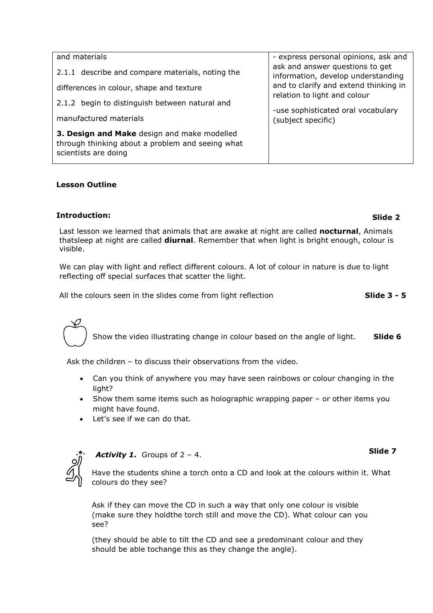| and materials                                                                                                           | - express personal opinions, ask and                                                                                                                                                                       |
|-------------------------------------------------------------------------------------------------------------------------|------------------------------------------------------------------------------------------------------------------------------------------------------------------------------------------------------------|
| 2.1.1 describe and compare materials, noting the                                                                        | ask and answer questions to get<br>information, develop understanding<br>and to clarify and extend thinking in<br>relation to light and colour<br>-use sophisticated oral vocabulary<br>(subject specific) |
| differences in colour, shape and texture                                                                                |                                                                                                                                                                                                            |
| 2.1.2 begin to distinguish between natural and                                                                          |                                                                                                                                                                                                            |
| manufactured materials                                                                                                  |                                                                                                                                                                                                            |
| 3. Design and Make design and make modelled<br>through thinking about a problem and seeing what<br>scientists are doing |                                                                                                                                                                                                            |

### **Lesson Outline**

### **Introduction:**

Last lesson we learned that animals that are awake at night are called **nocturnal**, Animals thatsleep at night are called **diurnal**. Remember that when light is bright enough, colour is visible.

We can play with light and reflect different colours. A lot of colour in nature is due to light reflecting off special surfaces that scatter the light.

All the colours seen in the slides come from light reflection **Slide 3 - 5**

Show the video illustrating change in colour based on the angle of light. **Slide 6**

Ask the children – to discuss their observations from the video.

- Can you think of anywhere you may have seen rainbows or colour changing in the light?
- Show them some items such as holographic wrapping paper or other items you might have found.
- Let's see if we can do that.



# *Activity 1.* Groups of 2 – 4.

Have the students shine a torch onto a CD and look at the colours within it. What colours do they see?

Ask if they can move the CD in such a way that only one colour is visible (make sure they holdthe torch still and move the CD). What colour can you see?

(they should be able to tilt the CD and see a predominant colour and they should be able tochange this as they change the angle).

# **Slide 2**

**Slide 7**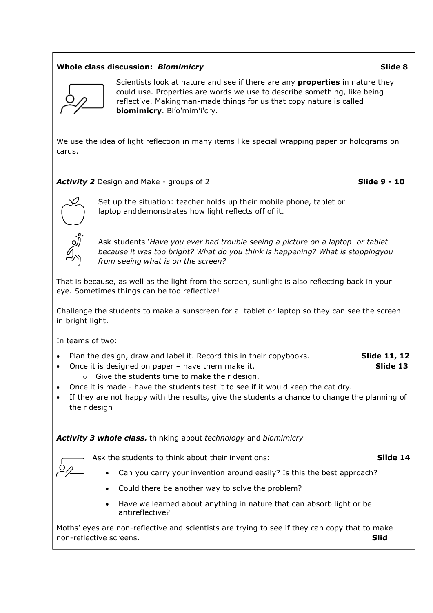## **Whole class discussion:** *Biomimicry* **Slide 8**



Scientists look at nature and see if there are any **properties** in nature they could use. Properties are words we use to describe something, like being reflective. Makingman-made things for us that copy nature is called **biomimicry**. Bi'o'mim'i'cry.

We use the idea of light reflection in many items like special wrapping paper or holograms on cards.

*Activity 2* Design and Make - groups of 2 **Slide 9 - 10**



Set up the situation: teacher holds up their mobile phone, tablet or laptop and demonstrates how light reflects off of it.

Ask students '*Have you ever had trouble seeing a picture on a laptop or tablet because it was too bright? What do you think is happening? What is stoppingyou from seeing what is on the screen?*

That is because, as well as the light from the screen, sunlight is also reflecting back in your eye. Sometimes things can be too reflective!

Challenge the students to make a sunscreen for a tablet or laptop so they can see the screen in bright light.

In teams of two:

- Plan the design, draw and label it. Record this in their copybooks. **Slide 11, 12**
- Once it is designed on paper have them make it. **Slide 13**
	- o Give the students time to make their design.
- Once it is made have the students test it to see if it would keep the cat dry.
- If they are not happy with the results, give the students a chance to change the planning of their design

*Activity 3 whole class.* thinking about *technology* and *biomimicry*

Ask the students to think about their inventions: **Slide 14** 

- Can you carry your invention around easily? Is this the best approach?
- Could there be another way to solve the problem?
- Have we learned about anything in nature that can absorb light or be antireflective?

Moths' eyes are non-reflective and scientists are trying to see if they can copy that to make non-reflective screens. **Slid**